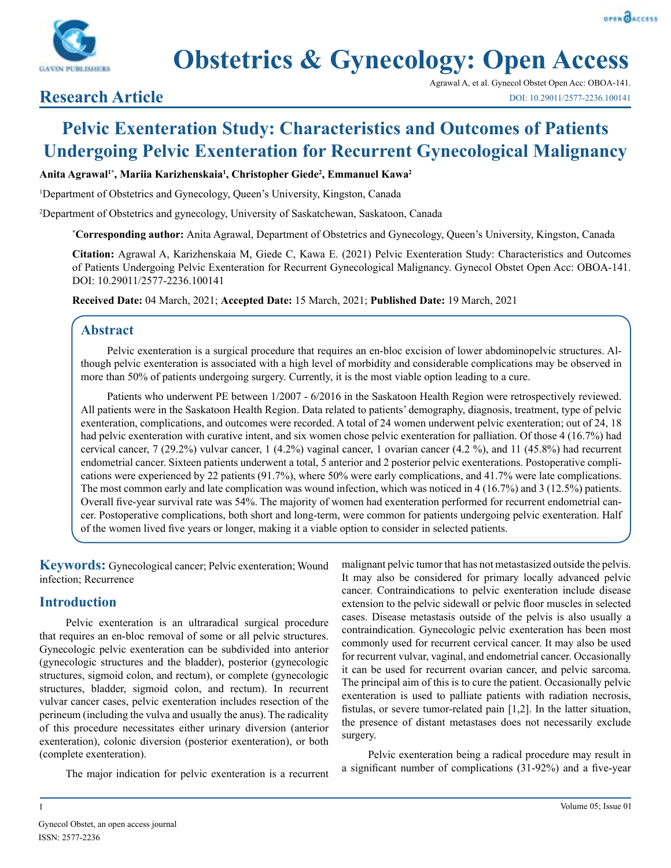



# **Obstetrics & Gynecology: Open Access**

# **Research Article**

Agrawal A, et al. Gynecol Obstet Open Acc: OBOA-141. DOI: 10.29011/2577-2236.100141

# **Pelvic Exenteration Study: Characteristics and Outcomes of Patients Undergoing Pelvic Exenteration for Recurrent Gynecological Malignancy**

**Anita Agrawal1\*, Mariia Karizhenskaia1 , Christopher Giede2 , Emmanuel Kawa2**

<sup>1</sup>Department of Obstetrics and Gynecology, Queen's University, Kingston, Canada

2 Department of Obstetrics and gynecology, University of Saskatchewan, Saskatoon, Canada

**\* Corresponding author:** Anita Agrawal, Department of Obstetrics and Gynecology, Queen's University, Kingston, Canada

**Citation:** Agrawal A, Karizhenskaia M, Giede C, Kawa E. (2021) Pelvic Exenteration Study: Characteristics and Outcomes of Patients Undergoing Pelvic Exenteration for Recurrent Gynecological Malignancy. Gynecol Obstet Open Acc: OBOA-141. DOI: 10.29011/2577-2236.100141

**Received Date:** 04 March, 2021; **Accepted Date:** 15 March, 2021; **Published Date:** 19 March, 2021

## **Abstract**

Pelvic exenteration is a surgical procedure that requires an en-bloc excision of lower abdominopelvic structures. Although pelvic exenteration is associated with a high level of morbidity and considerable complications may be observed in more than 50% of patients undergoing surgery. Currently, it is the most viable option leading to a cure.

Patients who underwent PE between 1/2007 - 6/2016 in the Saskatoon Health Region were retrospectively reviewed. All patients were in the Saskatoon Health Region. Data related to patients' demography, diagnosis, treatment, type of pelvic exenteration, complications, and outcomes were recorded. A total of 24 women underwent pelvic exenteration; out of 24, 18 had pelvic exenteration with curative intent, and six women chose pelvic exenteration for palliation. Of those 4 (16.7%) had cervical cancer, 7 (29.2%) vulvar cancer, 1 (4.2%) vaginal cancer, 1 ovarian cancer (4.2 %), and 11 (45.8%) had recurrent endometrial cancer. Sixteen patients underwent a total, 5 anterior and 2 posterior pelvic exenterations. Postoperative complications were experienced by 22 patients (91.7%), where 50% were early complications, and 41.7% were late complications. The most common early and late complication was wound infection, which was noticed in 4 (16.7%) and 3 (12.5%) patients. Overall five-year survival rate was 54%. The majority of women had exenteration performed for recurrent endometrial cancer. Postoperative complications, both short and long-term, were common for patients undergoing pelvic exenteration. Half of the women lived five years or longer, making it a viable option to consider in selected patients.

**Keywords:** Gynecological cancer; Pelvic exenteration; Wound infection; Recurrence

# **Introduction**

Pelvic exenteration is an ultraradical surgical procedure that requires an en-bloc removal of some or all pelvic structures. Gynecologic pelvic exenteration can be subdivided into anterior (gynecologic structures and the bladder), posterior (gynecologic structures, sigmoid colon, and rectum), or complete (gynecologic structures, bladder, sigmoid colon, and rectum). In recurrent vulvar cancer cases, pelvic exenteration includes resection of the perineum (including the vulva and usually the anus). The radicality of this procedure necessitates either urinary diversion (anterior exenteration), colonic diversion (posterior exenteration), or both (complete exenteration).

The major indication for pelvic exenteration is a recurrent

malignant pelvic tumor that has not metastasized outside the pelvis. It may also be considered for primary locally advanced pelvic cancer. Contraindications to pelvic exenteration include disease extension to the pelvic sidewall or pelvic floor muscles in selected cases. Disease metastasis outside of the pelvis is also usually a contraindication. Gynecologic pelvic exenteration has been most commonly used for recurrent cervical cancer. It may also be used for recurrent vulvar, vaginal, and endometrial cancer. Occasionally it can be used for recurrent ovarian cancer, and pelvic sarcoma. The principal aim of this is to cure the patient. Occasionally pelvic exenteration is used to palliate patients with radiation necrosis, fistulas, or severe tumor-related pain [1,2]. In the latter situation, the presence of distant metastases does not necessarily exclude surgery.

Pelvic exenteration being a radical procedure may result in a significant number of complications (31-92%) and a five-year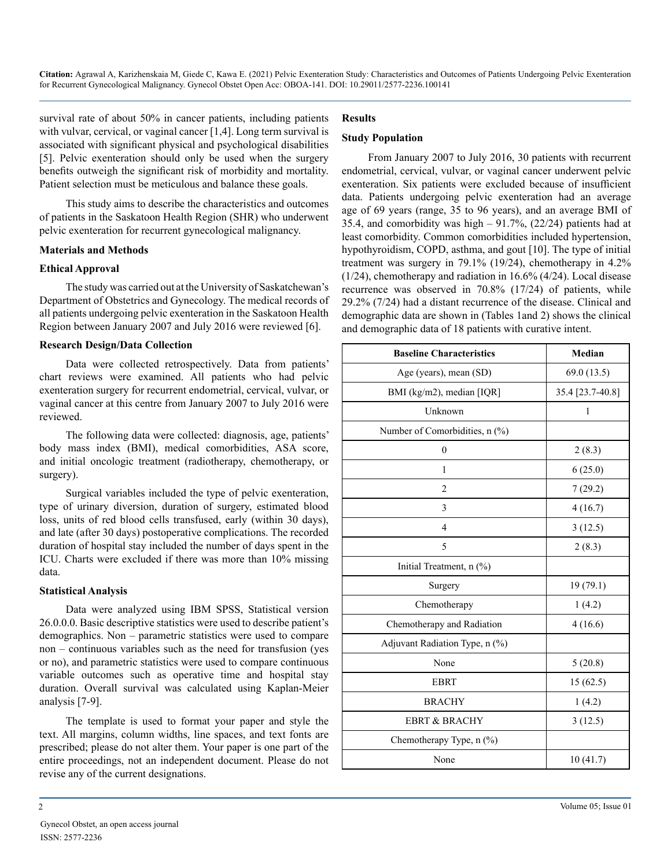survival rate of about 50% in cancer patients, including patients with vulvar, cervical, or vaginal cancer [1,4]. Long term survival is associated with significant physical and psychological disabilities [5]. Pelvic exenteration should only be used when the surgery benefits outweigh the significant risk of morbidity and mortality. Patient selection must be meticulous and balance these goals.

This study aims to describe the characteristics and outcomes of patients in the Saskatoon Health Region (SHR) who underwent pelvic exenteration for recurrent gynecological malignancy.

#### **Materials and Methods**

#### **Ethical Approval**

The study was carried out at the University of Saskatchewan's Department of Obstetrics and Gynecology. The medical records of all patients undergoing pelvic exenteration in the Saskatoon Health Region between January 2007 and July 2016 were reviewed [6].

#### **Research Design/Data Collection**

Data were collected retrospectively. Data from patients' chart reviews were examined. All patients who had pelvic exenteration surgery for recurrent endometrial, cervical, vulvar, or vaginal cancer at this centre from January 2007 to July 2016 were reviewed.

The following data were collected: diagnosis, age, patients' body mass index (BMI), medical comorbidities, ASA score, and initial oncologic treatment (radiotherapy, chemotherapy, or surgery).

Surgical variables included the type of pelvic exenteration, type of urinary diversion, duration of surgery, estimated blood loss, units of red blood cells transfused, early (within 30 days), and late (after 30 days) postoperative complications. The recorded duration of hospital stay included the number of days spent in the ICU. Charts were excluded if there was more than 10% missing data.

#### **Statistical Analysis**

Data were analyzed using IBM SPSS, Statistical version 26.0.0.0. Basic descriptive statistics were used to describe patient's demographics. Non – parametric statistics were used to compare non – continuous variables such as the need for transfusion (yes or no), and parametric statistics were used to compare continuous variable outcomes such as operative time and hospital stay duration. Overall survival was calculated using Kaplan-Meier analysis [7-9].

The template is used to format your paper and style the text. All margins, column widths, line spaces, and text fonts are prescribed; please do not alter them. Your paper is one part of the entire proceedings, not an independent document. Please do not revise any of the current designations.

#### **Results**

#### **Study Population**

From January 2007 to July 2016, 30 patients with recurrent endometrial, cervical, vulvar, or vaginal cancer underwent pelvic exenteration. Six patients were excluded because of insufficient data. Patients undergoing pelvic exenteration had an average age of 69 years (range, 35 to 96 years), and an average BMI of 35.4, and comorbidity was high – 91.7%, (22/24) patients had at least comorbidity. Common comorbidities included hypertension, hypothyroidism, COPD, asthma, and gout [10]. The type of initial treatment was surgery in 79.1% (19/24), chemotherapy in 4.2% (1/24), chemotherapy and radiation in 16.6% (4/24). Local disease recurrence was observed in 70.8% (17/24) of patients, while 29.2% (7/24) had a distant recurrence of the disease. Clinical and demographic data are shown in (Tables 1and 2) shows the clinical and demographic data of 18 patients with curative intent.

| <b>Baseline Characteristics</b> | Median           |
|---------------------------------|------------------|
| Age (years), mean (SD)          | 69.0(13.5)       |
| BMI (kg/m2), median [IQR]       | 35.4 [23.7-40.8] |
| Unknown                         | $\mathbf{1}$     |
| Number of Comorbidities, n (%)  |                  |
| $\mathbf{0}$                    | 2(8.3)           |
| $\mathbf{1}$                    | 6(25.0)          |
| $\overline{2}$                  | 7(29.2)          |
| 3                               | 4(16.7)          |
| $\overline{4}$                  | 3(12.5)          |
| 5                               | 2(8.3)           |
| Initial Treatment, n (%)        |                  |
| Surgery                         | 19 (79.1)        |
| Chemotherapy                    | 1(4.2)           |
| Chemotherapy and Radiation      | 4(16.6)          |
| Adjuvant Radiation Type, n (%)  |                  |
| None                            | 5(20.8)          |
| <b>EBRT</b>                     | 15(62.5)         |
| <b>BRACHY</b>                   | 1(4.2)           |
| <b>EBRT &amp; BRACHY</b>        | 3(12.5)          |
| Chemotherapy Type, n (%)        |                  |
| None                            | 10(41.7)         |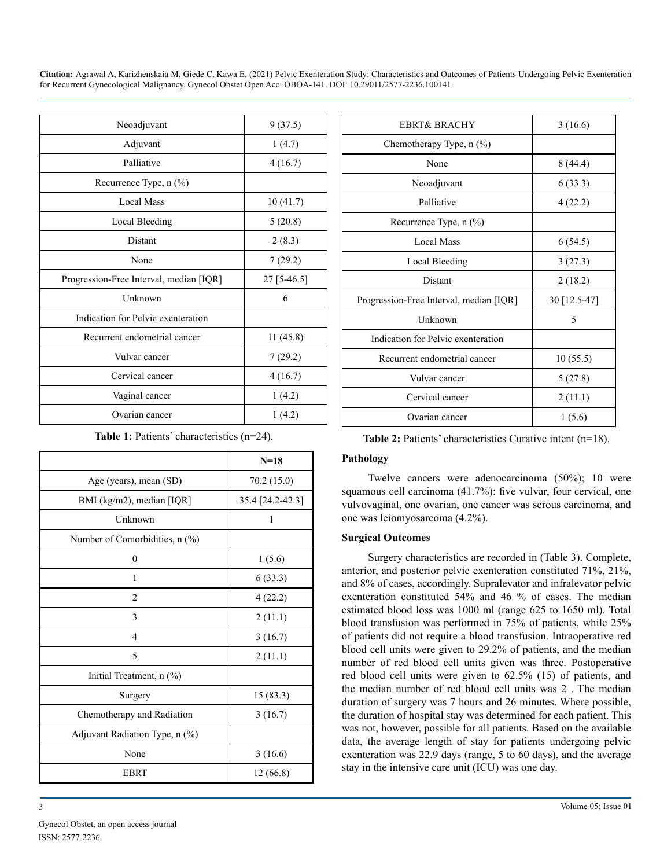| Neoadjuvant                             | 9(37.5)     |
|-----------------------------------------|-------------|
| Adjuvant                                | 1(4.7)      |
| Palliative                              | 4(16.7)     |
| Recurrence Type, n (%)                  |             |
| <b>Local Mass</b>                       | 10(41.7)    |
| Local Bleeding                          | 5(20.8)     |
| Distant                                 | 2(8.3)      |
| None                                    | 7(29.2)     |
| Progression-Free Interval, median [IQR] | 27 [5-46.5] |
| Unknown                                 | 6           |
| Indication for Pelvic exenteration      |             |
| Recurrent endometrial cancer            | 11(45.8)    |
| Vulvar cancer                           | 7(29.2)     |
| Cervical cancer                         | 4(16.7)     |
| Vaginal cancer                          | 1(4.2)      |
| Ovarian cancer                          | 1(4.2)      |

**Table 1:** Patients' characteristics (n=24).

|                                | $N=18$           |
|--------------------------------|------------------|
| Age (years), mean (SD)         | 70.2(15.0)       |
| BMI (kg/m2), median [IQR]      | 35.4 [24.2-42.3] |
| Unknown                        | 1                |
| Number of Comorbidities, n (%) |                  |
| $\boldsymbol{0}$               | 1(5.6)           |
| 1                              | 6(33.3)          |
| $\overline{c}$                 | 4(22.2)          |
| 3                              | 2(11.1)          |
| 4                              | 3(16.7)          |
| 5                              | 2(11.1)          |
| Initial Treatment, n (%)       |                  |
| Surgery                        | 15(83.3)         |
| Chemotherapy and Radiation     | 3(16.7)          |
| Adjuvant Radiation Type, n (%) |                  |
| None                           | 3(16.6)          |
| <b>EBRT</b>                    | 12 (66.8)        |

| <b>EBRT&amp; BRACHY</b>                 | 3(16.6)      |
|-----------------------------------------|--------------|
| Chemotherapy Type, n (%)                |              |
| None                                    | 8(44.4)      |
| Neoadjuvant                             | 6(33.3)      |
| Palliative                              | 4(22.2)      |
| Recurrence Type, n (%)                  |              |
| <b>Local Mass</b>                       | 6(54.5)      |
| Local Bleeding                          | 3(27.3)      |
| Distant                                 | 2(18.2)      |
| Progression-Free Interval, median [IQR] | 30 [12.5-47] |
| Unknown                                 | 5            |
| Indication for Pelvic exenteration      |              |
| Recurrent endometrial cancer            | 10(55.5)     |
| Vulvar cancer                           | 5(27.8)      |
| Cervical cancer                         | 2(11.1)      |
| Ovarian cancer                          | 1(5.6)       |

**Table 2:** Patients' characteristics Curative intent (n=18).

#### **Pathology**

Twelve cancers were adenocarcinoma (50%); 10 were squamous cell carcinoma (41.7%): five vulvar, four cervical, one vulvovaginal, one ovarian, one cancer was serous carcinoma, and one was leiomyosarcoma (4.2%).

#### **Surgical Outcomes**

Surgery characteristics are recorded in (Table 3). Complete, anterior, and posterior pelvic exenteration constituted 71%, 21%, and 8% of cases, accordingly. Supralevator and infralevator pelvic exenteration constituted 54% and 46 % of cases. The median estimated blood loss was 1000 ml (range 625 to 1650 ml). Total blood transfusion was performed in 75% of patients, while 25% of patients did not require a blood transfusion. Intraoperative red blood cell units were given to 29.2% of patients, and the median number of red blood cell units given was three. Postoperative red blood cell units were given to 62.5% (15) of patients, and the median number of red blood cell units was 2 . The median duration of surgery was 7 hours and 26 minutes. Where possible, the duration of hospital stay was determined for each patient. This was not, however, possible for all patients. Based on the available data, the average length of stay for patients undergoing pelvic exenteration was 22.9 days (range, 5 to 60 days), and the average stay in the intensive care unit (ICU) was one day.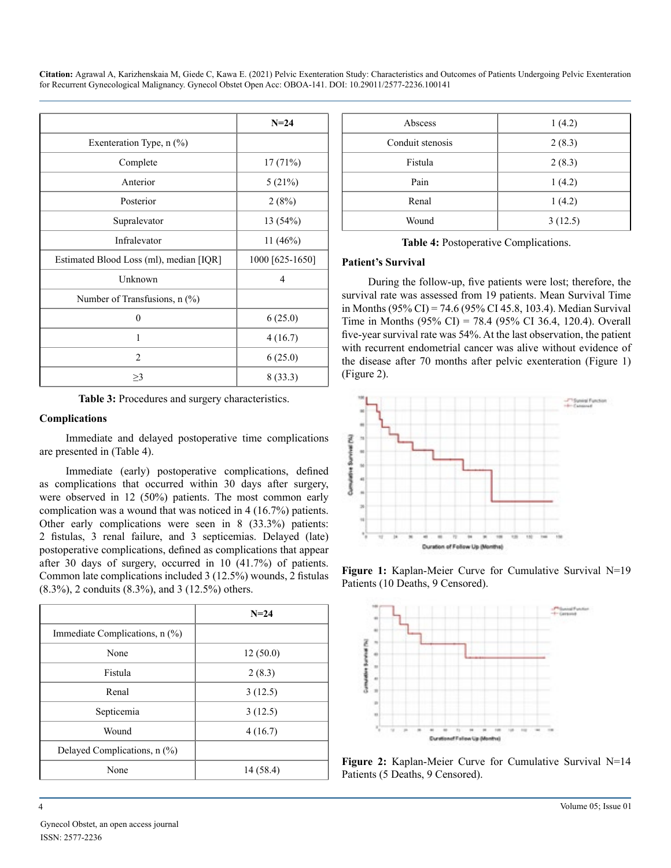|                                         | $N=24$          |
|-----------------------------------------|-----------------|
| Exenteration Type, $n$ $(\%)$           |                 |
| Complete                                | 17(71%)         |
| Anterior                                | 5(21%)          |
| Posterior                               | 2(8%)           |
| Supralevator                            | 13 (54%)        |
| Infralevator                            | 11 (46%)        |
| Estimated Blood Loss (ml), median [IQR] | 1000 [625-1650] |
| Unknown                                 | $\overline{4}$  |
| Number of Transfusions, $n$ (%)         |                 |
| $\theta$                                | 6(25.0)         |
| 1                                       | 4(16.7)         |
| $\overline{2}$                          | 6(25.0)         |
| $\geq$ 3                                | 8(33.3)         |

**Table 3:** Procedures and surgery characteristics.

#### **Complications**

Immediate and delayed postoperative time complications are presented in (Table 4).

Immediate (early) postoperative complications, defined as complications that occurred within 30 days after surgery, were observed in 12 (50%) patients. The most common early complication was a wound that was noticed in 4 (16.7%) patients. Other early complications were seen in 8 (33.3%) patients: 2 fistulas, 3 renal failure, and 3 septicemias. Delayed (late) postoperative complications, defined as complications that appear after 30 days of surgery, occurred in 10 (41.7%) of patients. Common late complications included 3 (12.5%) wounds, 2 fistulas (8.3%), 2 conduits (8.3%), and 3 (12.5%) others.

|                                | $N=24$    |
|--------------------------------|-----------|
| Immediate Complications, n (%) |           |
| None                           | 12(50.0)  |
| Fistula                        | 2(8.3)    |
| Renal                          | 3(12.5)   |
| Septicemia                     | 3(12.5)   |
| Wound                          | 4(16.7)   |
| Delayed Complications, n (%)   |           |
| None                           | 14 (58.4) |

| Abscess          | 1(4.2)  |
|------------------|---------|
| Conduit stenosis | 2(8.3)  |
| Fistula          | 2(8.3)  |
| Pain             | 1(4.2)  |
| Renal            | 1(4.2)  |
| Wound            | 3(12.5) |
|                  |         |

**Table 4:** Postoperative Complications.

#### **Patient's Survival**

During the follow-up, five patients were lost; therefore, the survival rate was assessed from 19 patients. Mean Survival Time in Months (95% CI) = 74.6 (95% CI 45.8, 103.4). Median Survival Time in Months (95% CI) = 78.4 (95% CI 36.4, 120.4). Overall five-year survival rate was 54%. At the last observation, the patient with recurrent endometrial cancer was alive without evidence of the disease after 70 months after pelvic exenteration (Figure 1) (Figure 2).



**Figure 1:** Kaplan-Meier Curve for Cumulative Survival N=19 Patients (10 Deaths, 9 Censored).



**Figure 2:** Kaplan-Meier Curve for Cumulative Survival N=14 Patients (5 Deaths, 9 Censored).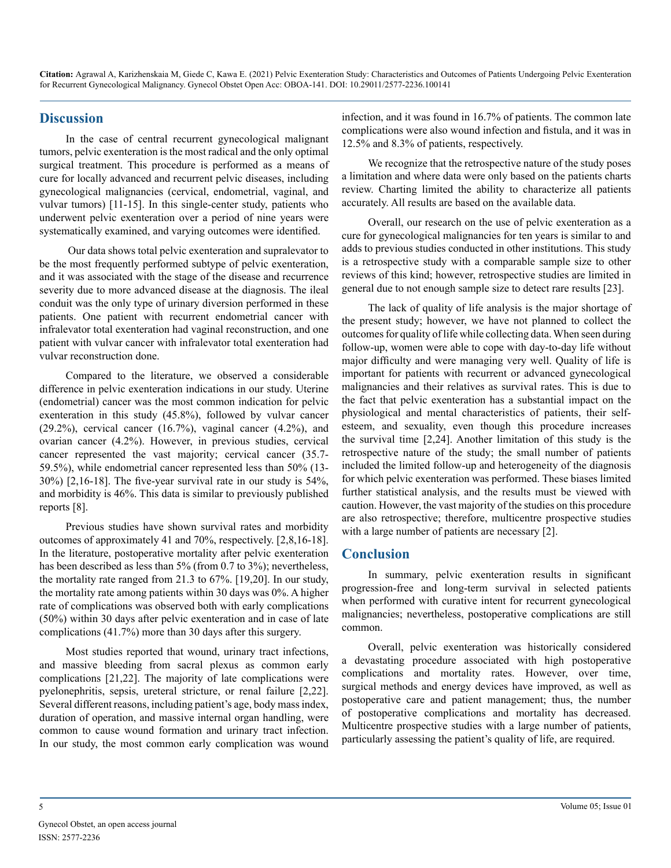### **Discussion**

In the case of central recurrent gynecological malignant tumors, pelvic exenteration is the most radical and the only optimal surgical treatment. This procedure is performed as a means of cure for locally advanced and recurrent pelvic diseases, including gynecological malignancies (cervical, endometrial, vaginal, and vulvar tumors) [11-15]. In this single-center study, patients who underwent pelvic exenteration over a period of nine years were systematically examined, and varying outcomes were identified.

 Our data shows total pelvic exenteration and supralevator to be the most frequently performed subtype of pelvic exenteration, and it was associated with the stage of the disease and recurrence severity due to more advanced disease at the diagnosis. The ileal conduit was the only type of urinary diversion performed in these patients. One patient with recurrent endometrial cancer with infralevator total exenteration had vaginal reconstruction, and one patient with vulvar cancer with infralevator total exenteration had vulvar reconstruction done.

Compared to the literature, we observed a considerable difference in pelvic exenteration indications in our study. Uterine (endometrial) cancer was the most common indication for pelvic exenteration in this study (45.8%), followed by vulvar cancer (29.2%), cervical cancer  $(16.7%)$ , vaginal cancer  $(4.2%)$ , and ovarian cancer (4.2%). However, in previous studies, cervical cancer represented the vast majority; cervical cancer (35.7- 59.5%), while endometrial cancer represented less than 50% (13- 30%) [2,16-18]. The five-year survival rate in our study is 54%, and morbidity is 46%. This data is similar to previously published reports [8].

Previous studies have shown survival rates and morbidity outcomes of approximately 41 and 70%, respectively. [2,8,16-18]. In the literature, postoperative mortality after pelvic exenteration has been described as less than 5% (from 0.7 to 3%); nevertheless, the mortality rate ranged from 21.3 to 67%. [19,20]. In our study, the mortality rate among patients within 30 days was 0%. A higher rate of complications was observed both with early complications (50%) within 30 days after pelvic exenteration and in case of late complications (41.7%) more than 30 days after this surgery.

Most studies reported that wound, urinary tract infections, and massive bleeding from sacral plexus as common early complications [21,22]. The majority of late complications were pyelonephritis, sepsis, ureteral stricture, or renal failure [2,22]. Several different reasons, including patient's age, body mass index, duration of operation, and massive internal organ handling, were common to cause wound formation and urinary tract infection. In our study, the most common early complication was wound

infection, and it was found in 16.7% of patients. The common late complications were also wound infection and fistula, and it was in 12.5% and 8.3% of patients, respectively.

We recognize that the retrospective nature of the study poses a limitation and where data were only based on the patients charts review. Charting limited the ability to characterize all patients accurately. All results are based on the available data.

Overall, our research on the use of pelvic exenteration as a cure for gynecological malignancies for ten years is similar to and adds to previous studies conducted in other institutions. This study is a retrospective study with a comparable sample size to other reviews of this kind; however, retrospective studies are limited in general due to not enough sample size to detect rare results [23].

The lack of quality of life analysis is the major shortage of the present study; however, we have not planned to collect the outcomes for quality of life while collecting data. When seen during follow-up, women were able to cope with day-to-day life without major difficulty and were managing very well. Quality of life is important for patients with recurrent or advanced gynecological malignancies and their relatives as survival rates. This is due to the fact that pelvic exenteration has a substantial impact on the physiological and mental characteristics of patients, their selfesteem, and sexuality, even though this procedure increases the survival time [2,24]. Another limitation of this study is the retrospective nature of the study; the small number of patients included the limited follow-up and heterogeneity of the diagnosis for which pelvic exenteration was performed. These biases limited further statistical analysis, and the results must be viewed with caution. However, the vast majority of the studies on this procedure are also retrospective; therefore, multicentre prospective studies with a large number of patients are necessary [2].

#### **Conclusion**

In summary, pelvic exenteration results in significant progression-free and long-term survival in selected patients when performed with curative intent for recurrent gynecological malignancies; nevertheless, postoperative complications are still common.

Overall, pelvic exenteration was historically considered a devastating procedure associated with high postoperative complications and mortality rates. However, over time, surgical methods and energy devices have improved, as well as postoperative care and patient management; thus, the number of postoperative complications and mortality has decreased. Multicentre prospective studies with a large number of patients, particularly assessing the patient's quality of life, are required.